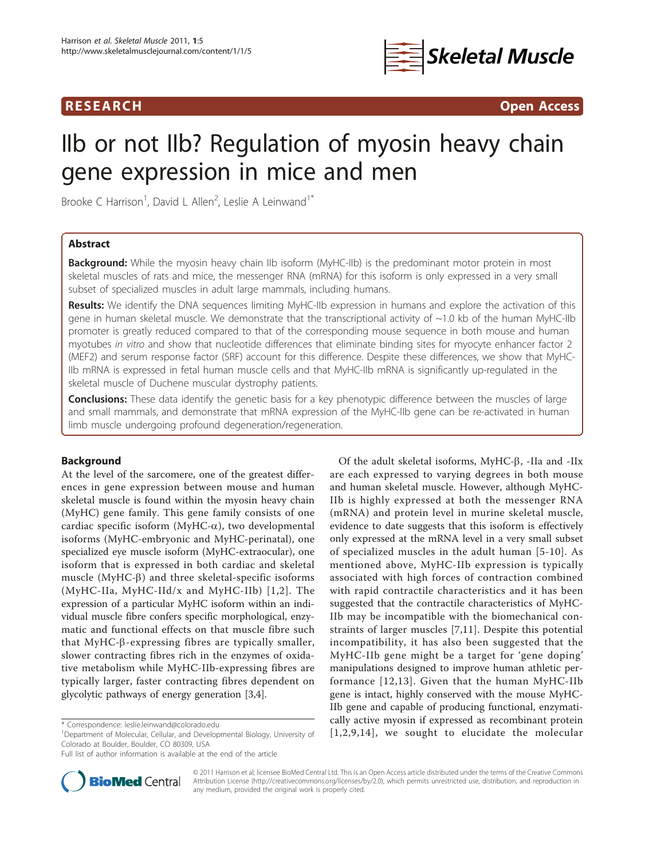

RESEARCH **CONTROLLER CONTROLLER CONTROLLER CONTROLLER CONTROLLER CONTROLLER CONTROLLER CONTROLLER CONTROLLER CONTROLLER CONTROLLER CONTROLLER CONTROLLER CONTROLLER CONTROLLER CONTROLLER CONTROLLER CONTROLLER CONTROLLER CON** 

# IIb or not IIb? Regulation of myosin heavy chain gene expression in mice and men

Brooke C Harrison<sup>1</sup>, David L Allen<sup>2</sup>, Leslie A Leinwand<sup>1\*</sup>

# Abstract

**Background:** While the myosin heavy chain IIb isoform (MyHC-IIb) is the predominant motor protein in most skeletal muscles of rats and mice, the messenger RNA (mRNA) for this isoform is only expressed in a very small subset of specialized muscles in adult large mammals, including humans.

Results: We identify the DNA sequences limiting MyHC-IIb expression in humans and explore the activation of this gene in human skeletal muscle. We demonstrate that the transcriptional activity of ~1.0 kb of the human MyHC-IIb promoter is greatly reduced compared to that of the corresponding mouse sequence in both mouse and human myotubes in vitro and show that nucleotide differences that eliminate binding sites for myocyte enhancer factor 2 (MEF2) and serum response factor (SRF) account for this difference. Despite these differences, we show that MyHC-IIb mRNA is expressed in fetal human muscle cells and that MyHC-IIb mRNA is significantly up-regulated in the skeletal muscle of Duchene muscular dystrophy patients.

**Conclusions:** These data identify the genetic basis for a key phenotypic difference between the muscles of large and small mammals, and demonstrate that mRNA expression of the MyHC-IIb gene can be re-activated in human limb muscle undergoing profound degeneration/regeneration.

#### Background

At the level of the sarcomere, one of the greatest differences in gene expression between mouse and human skeletal muscle is found within the myosin heavy chain (MyHC) gene family. This gene family consists of one cardiac specific isoform ( $MyHC-\alpha$ ), two developmental isoforms (MyHC-embryonic and MyHC-perinatal), one specialized eye muscle isoform (MyHC-extraocular), one isoform that is expressed in both cardiac and skeletal muscle ( $MyHC- $\beta$$ ) and three skeletal-specific isoforms (MyHC-IIa, MyHC-IId/x and MyHC-IIb) [[1](#page-7-0),[2](#page-7-0)]. The expression of a particular MyHC isoform within an individual muscle fibre confers specific morphological, enzymatic and functional effects on that muscle fibre such that  $MyHC- $\beta$ -expressing fibres are typically smaller,$ slower contracting fibres rich in the enzymes of oxidative metabolism while MyHC-IIb-expressing fibres are typically larger, faster contracting fibres dependent on glycolytic pathways of energy generation [\[3,4](#page-7-0)].

<sup>1</sup>Department of Molecular, Cellular, and Developmental Biology, University of Colorado at Boulder, Boulder, CO 80309, USA

Full list of author information is available at the end of the article



**BioMed** Central

© 2011 Harrison et al; licensee BioMed Central Ltd. This is an Open Access article distributed under the terms of the Creative Commons Attribution License [\(http://creativecommons.org/licenses/by/2.0](http://creativecommons.org/licenses/by/2.0)), which permits unrestricted use, distribution, and reproduction in any medium, provided the original work is properly cited.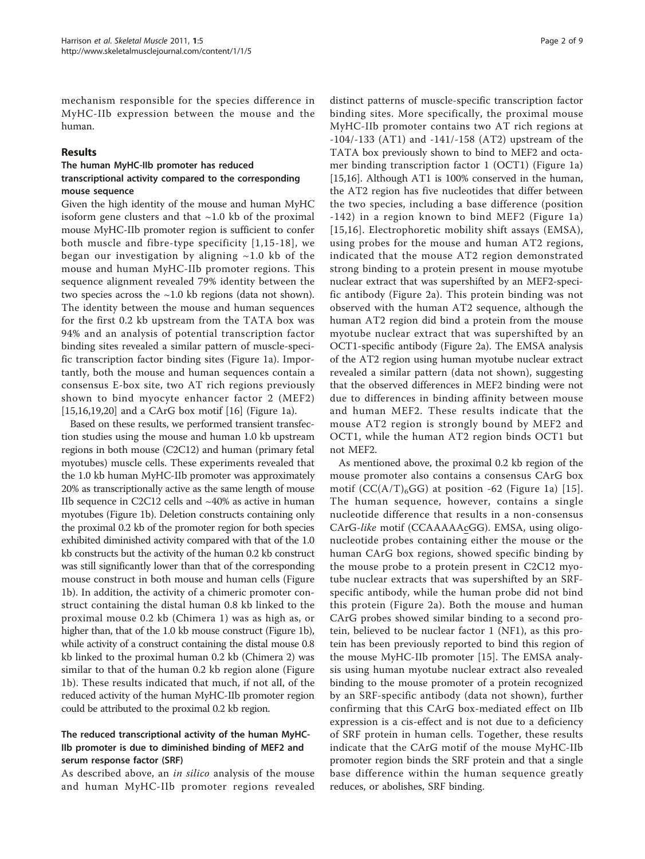mechanism responsible for the species difference in MyHC-IIb expression between the mouse and the human.

# Results

# The human MyHC-IIb promoter has reduced transcriptional activity compared to the corresponding mouse sequence

Given the high identity of the mouse and human MyHC isoform gene clusters and that  $~1.0$  kb of the proximal mouse MyHC-IIb promoter region is sufficient to confer both muscle and fibre-type specificity [[1,](#page-7-0)[15](#page-8-0)-[18\]](#page-8-0), we began our investigation by aligning  $\sim$ 1.0 kb of the mouse and human MyHC-IIb promoter regions. This sequence alignment revealed 79% identity between the two species across the  $\sim$ 1.0 kb regions (data not shown). The identity between the mouse and human sequences for the first 0.2 kb upstream from the TATA box was 94% and an analysis of potential transcription factor binding sites revealed a similar pattern of muscle-specific transcription factor binding sites (Figure [1a](#page-2-0)). Importantly, both the mouse and human sequences contain a consensus E-box site, two AT rich regions previously shown to bind myocyte enhancer factor 2 (MEF2)  $[15,16,19,20]$  $[15,16,19,20]$  $[15,16,19,20]$  $[15,16,19,20]$  $[15,16,19,20]$  and a CArG box motif  $[16]$  $[16]$  $[16]$  (Figure [1a](#page-2-0)).

Based on these results, we performed transient transfection studies using the mouse and human 1.0 kb upstream regions in both mouse (C2C12) and human (primary fetal myotubes) muscle cells. These experiments revealed that the 1.0 kb human MyHC-IIb promoter was approximately 20% as transcriptionally active as the same length of mouse IIb sequence in C2C12 cells and  $~40\%$  as active in human myotubes (Figure [1b](#page-2-0)). Deletion constructs containing only the proximal 0.2 kb of the promoter region for both species exhibited diminished activity compared with that of the 1.0 kb constructs but the activity of the human 0.2 kb construct was still significantly lower than that of the corresponding mouse construct in both mouse and human cells (Figure [1b\)](#page-2-0). In addition, the activity of a chimeric promoter construct containing the distal human 0.8 kb linked to the proximal mouse 0.2 kb (Chimera 1) was as high as, or higher than, that of the 1.0 kb mouse construct (Figure [1b](#page-2-0)), while activity of a construct containing the distal mouse 0.8 kb linked to the proximal human 0.2 kb (Chimera 2) was similar to that of the human 0.2 kb region alone (Figure [1b\)](#page-2-0). These results indicated that much, if not all, of the reduced activity of the human MyHC-IIb promoter region could be attributed to the proximal 0.2 kb region.

# The reduced transcriptional activity of the human MyHC-IIb promoter is due to diminished binding of MEF2 and serum response factor (SRF)

As described above, an in silico analysis of the mouse and human MyHC-IIb promoter regions revealed

distinct patterns of muscle-specific transcription factor binding sites. More specifically, the proximal mouse MyHC-IIb promoter contains two AT rich regions at -104/-133 (AT1) and -141/-158 (AT2) upstream of the TATA box previously shown to bind to MEF2 and octamer binding transcription factor 1 (OCT1) (Figure [1a](#page-2-0)) [[15,16\]](#page-8-0). Although AT1 is 100% conserved in the human, the AT2 region has five nucleotides that differ between the two species, including a base difference (position -142) in a region known to bind MEF2 (Figure [1a](#page-2-0)) [[15](#page-8-0),[16](#page-8-0)]. Electrophoretic mobility shift assays (EMSA), using probes for the mouse and human AT2 regions, indicated that the mouse AT2 region demonstrated strong binding to a protein present in mouse myotube nuclear extract that was supershifted by an MEF2-specific antibody (Figure [2a\)](#page-3-0). This protein binding was not observed with the human AT2 sequence, although the human AT2 region did bind a protein from the mouse myotube nuclear extract that was supershifted by an OCT1-specific antibody (Figure [2a\)](#page-3-0). The EMSA analysis of the AT2 region using human myotube nuclear extract revealed a similar pattern (data not shown), suggesting that the observed differences in MEF2 binding were not due to differences in binding affinity between mouse and human MEF2. These results indicate that the mouse AT2 region is strongly bound by MEF2 and OCT1, while the human AT2 region binds OCT1 but not MEF2.

As mentioned above, the proximal 0.2 kb region of the mouse promoter also contains a consensus CArG box motif  $(CC(A/T)_6GG)$  at position -62 (Figure [1a](#page-2-0)) [[15](#page-8-0)]. The human sequence, however, contains a single nucleotide difference that results in a non-consensus CArG-like motif (CCAAAAAcGG). EMSA, using oligonucleotide probes containing either the mouse or the human CArG box regions, showed specific binding by the mouse probe to a protein present in C2C12 myotube nuclear extracts that was supershifted by an SRFspecific antibody, while the human probe did not bind this protein (Figure [2a](#page-3-0)). Both the mouse and human CArG probes showed similar binding to a second protein, believed to be nuclear factor 1 (NF1), as this protein has been previously reported to bind this region of the mouse MyHC-IIb promoter [\[15](#page-8-0)]. The EMSA analysis using human myotube nuclear extract also revealed binding to the mouse promoter of a protein recognized by an SRF-specific antibody (data not shown), further confirming that this CArG box-mediated effect on IIb expression is a cis-effect and is not due to a deficiency of SRF protein in human cells. Together, these results indicate that the CArG motif of the mouse MyHC-IIb promoter region binds the SRF protein and that a single base difference within the human sequence greatly reduces, or abolishes, SRF binding.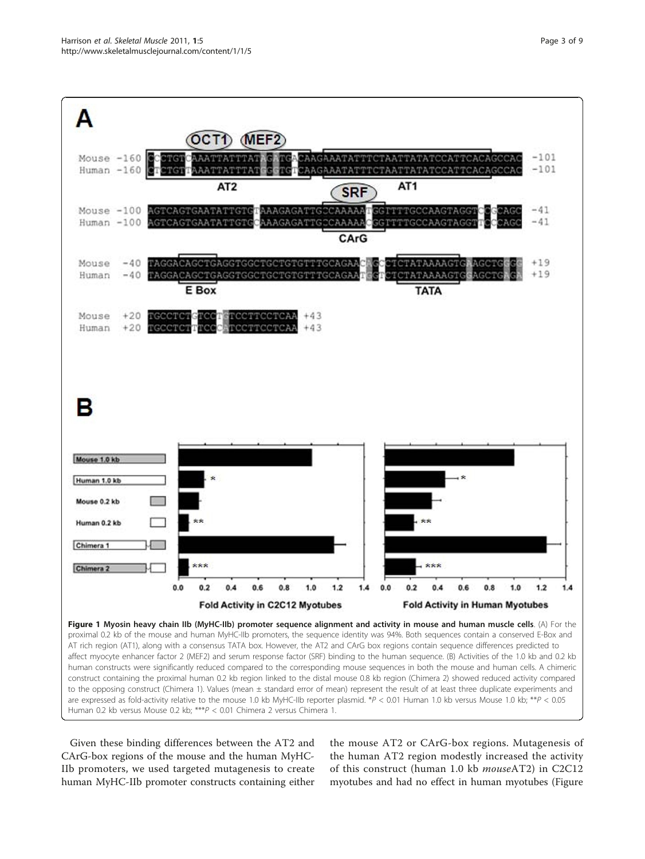<span id="page-2-0"></span>

Given these binding differences between the AT2 and CArG-box regions of the mouse and the human MyHC-IIb promoters, we used targeted mutagenesis to create human MyHC-IIb promoter constructs containing either the mouse AT2 or CArG-box regions. Mutagenesis of the human AT2 region modestly increased the activity of this construct (human 1.0 kb mouseAT2) in C2C12 myotubes and had no effect in human myotubes (Figure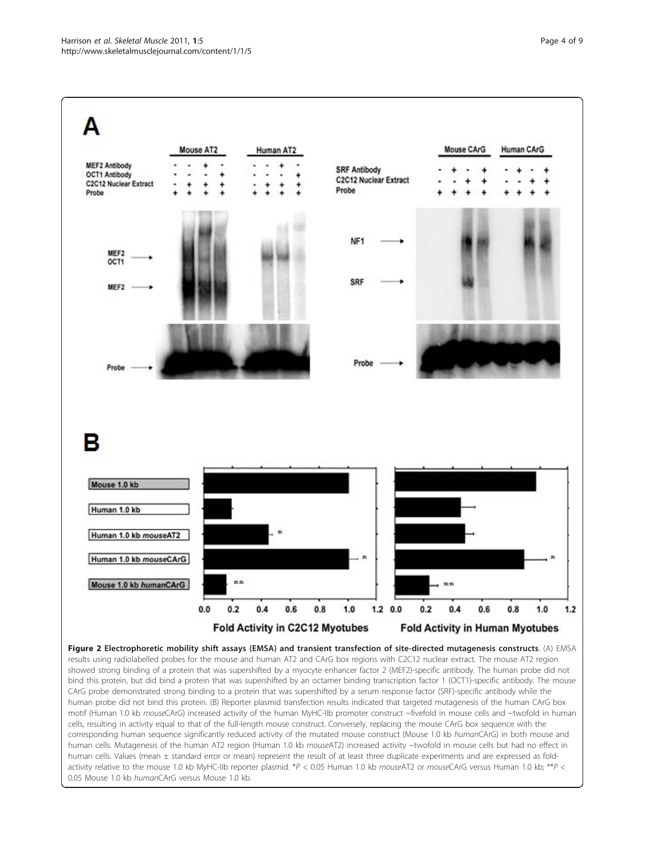<span id="page-3-0"></span>

Figure 2 Electrophoretic mobility shift assays (EMSA) and transient transfection of site-directed mutagenesis constructs. (A) EMSA results using radiolabelled probes for the mouse and human AT2 and CArG box regions with C2C12 nuclear extract. The mouse AT2 region showed strong binding of a protein that was supershifted by a myocyte enhancer factor 2 (MEF2)-specific antibody. The human probe did not bind this protein, but did bind a protein that was supershifted by an octamer binding transcription factor 1 (OCT1)-specific antibody. The mouse CArG probe demonstrated strong binding to a protein that was supershifted by a serum response factor (SRF)-specific antibody while the human probe did not bind this protein. (B) Reporter plasmid transfection results indicated that targeted mutagenesis of the human CArG box motif (Human 1.0 kb mouseCArG) increased activity of the human MyHC-IIb promoter construct ~fivefold in mouse cells and ~twofold in human cells, resulting in activity equal to that of the full-length mouse construct. Conversely, replacing the mouse CArG box sequence with the corresponding human sequence significantly reduced activity of the mutated mouse construct (Mouse 1.0 kb humanCArG) in both mouse and human cells. Mutagenesis of the human AT2 region (Human 1.0 kb mouseAT2) increased activity ~twofold in mouse cells but had no effect in human cells. Values (mean ± standard error or mean) represent the result of at least three duplicate experiments and are expressed as foldactivity relative to the mouse 1.0 kb MyHC-IIb reporter plasmid. \*P < 0.05 Human 1.0 kb mouseAT2 or mouseCArG versus Human 1.0 kb; \*\*P < 0.05 Mouse 1.0 kb humanCArG versus Mouse 1.0 kb.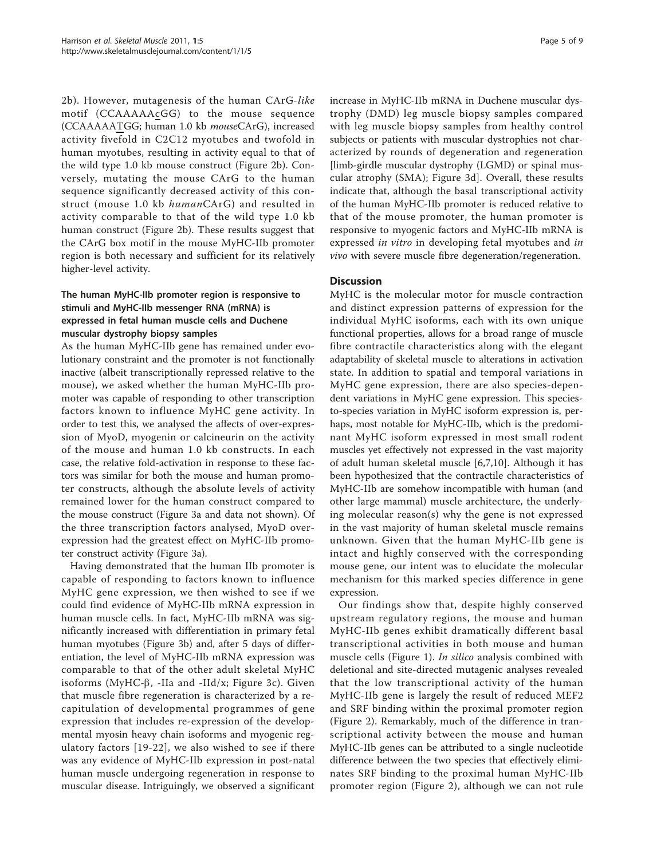[2b\)](#page-3-0). However, mutagenesis of the human CArG-like motif (CCAAAAAcGG) to the mouse sequence (CCAAAAATGG; human 1.0 kb mouseCArG), increased activity fivefold in C2C12 myotubes and twofold in human myotubes, resulting in activity equal to that of the wild type 1.0 kb mouse construct (Figure [2b\)](#page-3-0). Conversely, mutating the mouse CArG to the human sequence significantly decreased activity of this construct (mouse 1.0 kb humanCArG) and resulted in activity comparable to that of the wild type 1.0 kb human construct (Figure [2b\)](#page-3-0). These results suggest that the CArG box motif in the mouse MyHC-IIb promoter region is both necessary and sufficient for its relatively higher-level activity.

# The human MyHC-IIb promoter region is responsive to stimuli and MyHC-IIb messenger RNA (mRNA) is expressed in fetal human muscle cells and Duchene muscular dystrophy biopsy samples

As the human MyHC-IIb gene has remained under evolutionary constraint and the promoter is not functionally inactive (albeit transcriptionally repressed relative to the mouse), we asked whether the human MyHC-IIb promoter was capable of responding to other transcription factors known to influence MyHC gene activity. In order to test this, we analysed the affects of over-expression of MyoD, myogenin or calcineurin on the activity of the mouse and human 1.0 kb constructs. In each case, the relative fold-activation in response to these factors was similar for both the mouse and human promoter constructs, although the absolute levels of activity remained lower for the human construct compared to the mouse construct (Figure [3a](#page-5-0) and data not shown). Of the three transcription factors analysed, MyoD overexpression had the greatest effect on MyHC-IIb promoter construct activity (Figure [3a](#page-5-0)).

Having demonstrated that the human IIb promoter is capable of responding to factors known to influence MyHC gene expression, we then wished to see if we could find evidence of MyHC-IIb mRNA expression in human muscle cells. In fact, MyHC-IIb mRNA was significantly increased with differentiation in primary fetal human myotubes (Figure [3b\)](#page-5-0) and, after 5 days of differentiation, the level of MyHC-IIb mRNA expression was comparable to that of the other adult skeletal MyHC isoforms (MyHC- $\beta$ , -IIa and -IId/x; Figure [3c\)](#page-5-0). Given that muscle fibre regeneration is characterized by a recapitulation of developmental programmes of gene expression that includes re-expression of the developmental myosin heavy chain isoforms and myogenic regulatory factors [[19](#page-8-0)-[22](#page-8-0)], we also wished to see if there was any evidence of MyHC-IIb expression in post-natal human muscle undergoing regeneration in response to muscular disease. Intriguingly, we observed a significant increase in MyHC-IIb mRNA in Duchene muscular dystrophy (DMD) leg muscle biopsy samples compared with leg muscle biopsy samples from healthy control subjects or patients with muscular dystrophies not characterized by rounds of degeneration and regeneration [limb-girdle muscular dystrophy (LGMD) or spinal muscular atrophy (SMA); Figure [3d\]](#page-5-0). Overall, these results indicate that, although the basal transcriptional activity of the human MyHC-IIb promoter is reduced relative to that of the mouse promoter, the human promoter is responsive to myogenic factors and MyHC-IIb mRNA is expressed in vitro in developing fetal myotubes and in vivo with severe muscle fibre degeneration/regeneration.

# **Discussion**

MyHC is the molecular motor for muscle contraction and distinct expression patterns of expression for the individual MyHC isoforms, each with its own unique functional properties, allows for a broad range of muscle fibre contractile characteristics along with the elegant adaptability of skeletal muscle to alterations in activation state. In addition to spatial and temporal variations in MyHC gene expression, there are also species-dependent variations in MyHC gene expression. This speciesto-species variation in MyHC isoform expression is, perhaps, most notable for MyHC-IIb, which is the predominant MyHC isoform expressed in most small rodent muscles yet effectively not expressed in the vast majority of adult human skeletal muscle [\[6](#page-7-0)[,7,10](#page-8-0)]. Although it has been hypothesized that the contractile characteristics of MyHC-IIb are somehow incompatible with human (and other large mammal) muscle architecture, the underlying molecular reason(s) why the gene is not expressed in the vast majority of human skeletal muscle remains unknown. Given that the human MyHC-IIb gene is intact and highly conserved with the corresponding mouse gene, our intent was to elucidate the molecular mechanism for this marked species difference in gene expression.

Our findings show that, despite highly conserved upstream regulatory regions, the mouse and human MyHC-IIb genes exhibit dramatically different basal transcriptional activities in both mouse and human muscle cells (Figure [1](#page-2-0)). In silico analysis combined with deletional and site-directed mutagenic analyses revealed that the low transcriptional activity of the human MyHC-IIb gene is largely the result of reduced MEF2 and SRF binding within the proximal promoter region (Figure [2\)](#page-3-0). Remarkably, much of the difference in transcriptional activity between the mouse and human MyHC-IIb genes can be attributed to a single nucleotide difference between the two species that effectively eliminates SRF binding to the proximal human MyHC-IIb promoter region (Figure [2](#page-3-0)), although we can not rule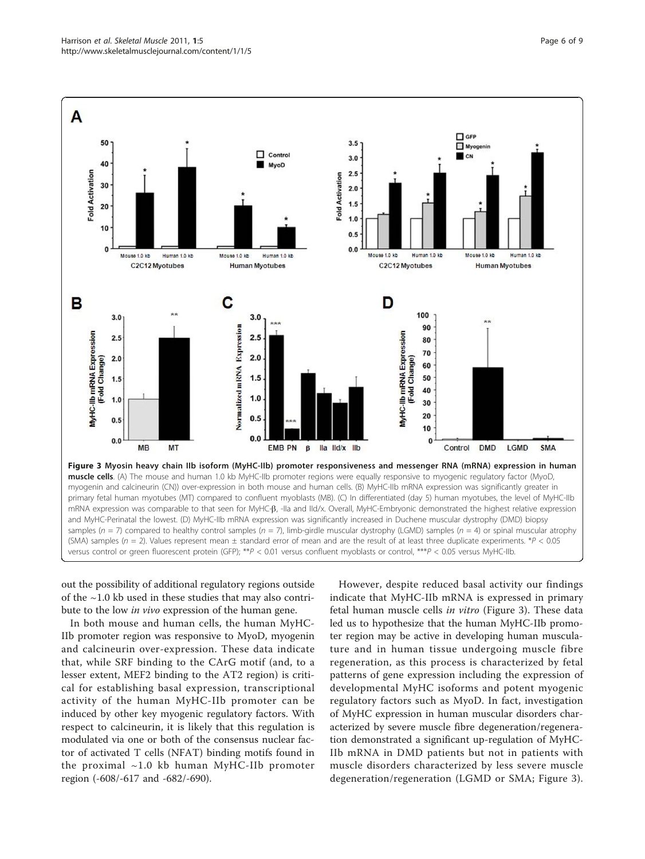<span id="page-5-0"></span>

out the possibility of additional regulatory regions outside of the  $\sim$ 1.0 kb used in these studies that may also contribute to the low in vivo expression of the human gene.

In both mouse and human cells, the human MyHC-IIb promoter region was responsive to MyoD, myogenin and calcineurin over-expression. These data indicate that, while SRF binding to the CArG motif (and, to a lesser extent, MEF2 binding to the AT2 region) is critical for establishing basal expression, transcriptional activity of the human MyHC-IIb promoter can be induced by other key myogenic regulatory factors. With respect to calcineurin, it is likely that this regulation is modulated via one or both of the consensus nuclear factor of activated T cells (NFAT) binding motifs found in the proximal  $~1.0$  kb human MyHC-IIb promoter region (-608/-617 and -682/-690).

However, despite reduced basal activity our findings indicate that MyHC-IIb mRNA is expressed in primary fetal human muscle cells in vitro (Figure 3). These data led us to hypothesize that the human MyHC-IIb promoter region may be active in developing human musculature and in human tissue undergoing muscle fibre regeneration, as this process is characterized by fetal patterns of gene expression including the expression of developmental MyHC isoforms and potent myogenic regulatory factors such as MyoD. In fact, investigation of MyHC expression in human muscular disorders characterized by severe muscle fibre degeneration/regeneration demonstrated a significant up-regulation of MyHC-IIb mRNA in DMD patients but not in patients with muscle disorders characterized by less severe muscle degeneration/regeneration (LGMD or SMA; Figure 3).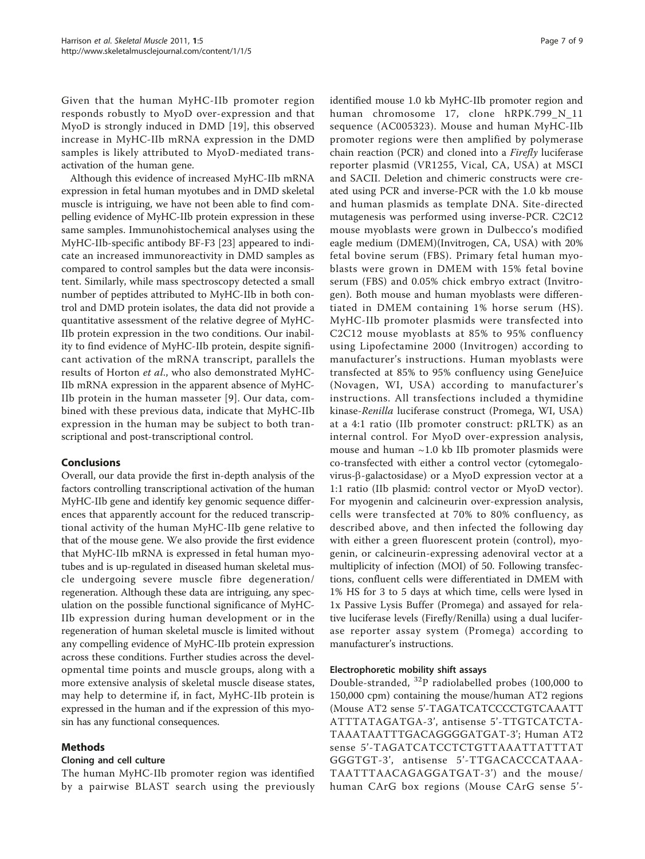Given that the human MyHC-IIb promoter region responds robustly to MyoD over-expression and that MyoD is strongly induced in DMD [[19\]](#page-8-0), this observed increase in MyHC-IIb mRNA expression in the DMD samples is likely attributed to MyoD-mediated transactivation of the human gene.

Although this evidence of increased MyHC-IIb mRNA expression in fetal human myotubes and in DMD skeletal muscle is intriguing, we have not been able to find compelling evidence of MyHC-IIb protein expression in these same samples. Immunohistochemical analyses using the MyHC-IIb-specific antibody BF-F3 [[23\]](#page-8-0) appeared to indicate an increased immunoreactivity in DMD samples as compared to control samples but the data were inconsistent. Similarly, while mass spectroscopy detected a small number of peptides attributed to MyHC-IIb in both control and DMD protein isolates, the data did not provide a quantitative assessment of the relative degree of MyHC-IIb protein expression in the two conditions. Our inability to find evidence of MyHC-IIb protein, despite significant activation of the mRNA transcript, parallels the results of Horton et al., who also demonstrated MyHC-IIb mRNA expression in the apparent absence of MyHC-IIb protein in the human masseter [[9](#page-8-0)]. Our data, combined with these previous data, indicate that MyHC-IIb expression in the human may be subject to both transcriptional and post-transcriptional control.

# Conclusions

Overall, our data provide the first in-depth analysis of the factors controlling transcriptional activation of the human MyHC-IIb gene and identify key genomic sequence differences that apparently account for the reduced transcriptional activity of the human MyHC-IIb gene relative to that of the mouse gene. We also provide the first evidence that MyHC-IIb mRNA is expressed in fetal human myotubes and is up-regulated in diseased human skeletal muscle undergoing severe muscle fibre degeneration/ regeneration. Although these data are intriguing, any speculation on the possible functional significance of MyHC-IIb expression during human development or in the regeneration of human skeletal muscle is limited without any compelling evidence of MyHC-IIb protein expression across these conditions. Further studies across the developmental time points and muscle groups, along with a more extensive analysis of skeletal muscle disease states, may help to determine if, in fact, MyHC-IIb protein is expressed in the human and if the expression of this myosin has any functional consequences.

# Methods

#### Cloning and cell culture

The human MyHC-IIb promoter region was identified by a pairwise BLAST search using the previously identified mouse 1.0 kb MyHC-IIb promoter region and human chromosome 17, clone hRPK.799\_N\_11 sequence (AC005323). Mouse and human MyHC-IIb promoter regions were then amplified by polymerase chain reaction (PCR) and cloned into a Firefly luciferase reporter plasmid (VR1255, Vical, CA, USA) at MSCI and SACII. Deletion and chimeric constructs were created using PCR and inverse-PCR with the 1.0 kb mouse and human plasmids as template DNA. Site-directed mutagenesis was performed using inverse-PCR. C2C12 mouse myoblasts were grown in Dulbecco's modified eagle medium (DMEM)(Invitrogen, CA, USA) with 20% fetal bovine serum (FBS). Primary fetal human myoblasts were grown in DMEM with 15% fetal bovine serum (FBS) and 0.05% chick embryo extract (Invitrogen). Both mouse and human myoblasts were differentiated in DMEM containing 1% horse serum (HS). MyHC-IIb promoter plasmids were transfected into C2C12 mouse myoblasts at 85% to 95% confluency using Lipofectamine 2000 (Invitrogen) according to manufacturer's instructions. Human myoblasts were transfected at 85% to 95% confluency using GeneJuice (Novagen, WI, USA) according to manufacturer's instructions. All transfections included a thymidine kinase-Renilla luciferase construct (Promega, WI, USA) at a 4:1 ratio (IIb promoter construct: pRLTK) as an internal control. For MyoD over-expression analysis, mouse and human ~1.0 kb IIb promoter plasmids were co-transfected with either a control vector (cytomegalovirus-b-galactosidase) or a MyoD expression vector at a 1:1 ratio (IIb plasmid: control vector or MyoD vector). For myogenin and calcineurin over-expression analysis, cells were transfected at 70% to 80% confluency, as described above, and then infected the following day with either a green fluorescent protein (control), myogenin, or calcineurin-expressing adenoviral vector at a multiplicity of infection (MOI) of 50. Following transfections, confluent cells were differentiated in DMEM with 1% HS for 3 to 5 days at which time, cells were lysed in 1x Passive Lysis Buffer (Promega) and assayed for relative luciferase levels (Firefly/Renilla) using a dual luciferase reporter assay system (Promega) according to manufacturer's instructions.

#### Electrophoretic mobility shift assays

Double-stranded, 32P radiolabelled probes (100,000 to 150,000 cpm) containing the mouse/human AT2 regions (Mouse AT2 sense 5'-TAGATCATCCCCTGTCAAATT ATTTATAGATGA-3', antisense 5'-TTGTCATCTA-TAAATAATTTGACAGGGGATGAT-3'; Human AT2 sense 5'-TAGATCATCCTCTGTTAAATTATTTAT GGGTGT-3', antisense 5'-TTGACACCCATAAA-TAATTTAACAGAGGATGAT-3') and the mouse/ human CArG box regions (Mouse CArG sense 5'-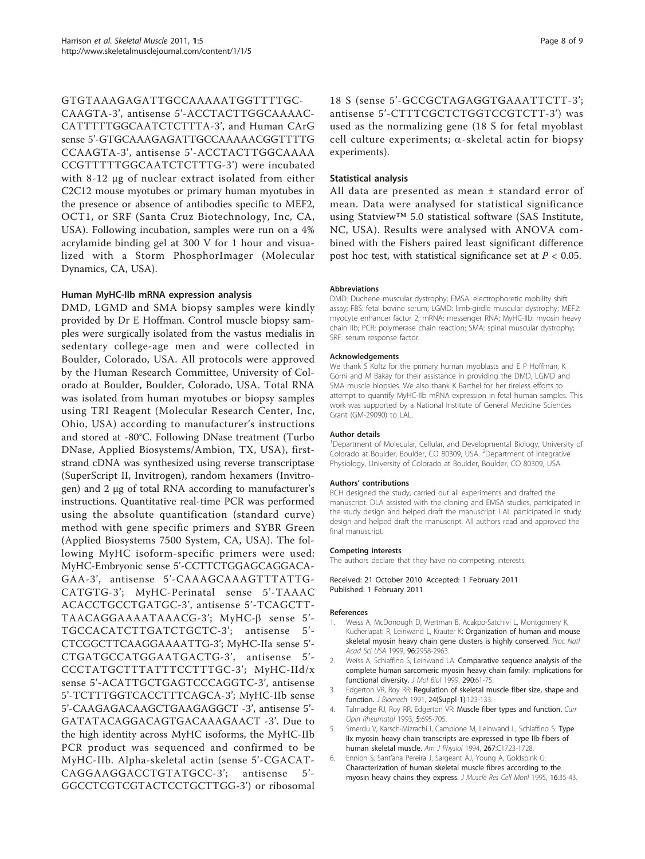<span id="page-7-0"></span>GTGTAAAGAGATTGCCAAAAATGGTTTTGC-CAAGTA-3', antisense 5'-ACCTACTTGGCAAAAC-CATTTTTGGCAATCTCTTTA-3', and Human CArG sense 5'-GTGCAAAGAGATTGCCAAAAACGGTTTTG CCAAGTA-3', antisense 5'-ACCTACTTGGCAAAA CCGTTTTTGGCAATCTCTTTG-3') were incubated with 8-12 μg of nuclear extract isolated from either C2C12 mouse myotubes or primary human myotubes in the presence or absence of antibodies specific to MEF2, OCT1, or SRF (Santa Cruz Biotechnology, Inc, CA, USA). Following incubation, samples were run on a 4% acrylamide binding gel at 300 V for 1 hour and visualized with a Storm PhosphorImager (Molecular Dynamics, CA, USA).

#### Human MyHC-IIb mRNA expression analysis

DMD, LGMD and SMA biopsy samples were kindly provided by Dr E Hoffman. Control muscle biopsy samples were surgically isolated from the vastus medialis in sedentary college-age men and were collected in Boulder, Colorado, USA. All protocols were approved by the Human Research Committee, University of Colorado at Boulder, Boulder, Colorado, USA. Total RNA was isolated from human myotubes or biopsy samples using TRI Reagent (Molecular Research Center, Inc, Ohio, USA) according to manufacturer's instructions and stored at -80°C. Following DNase treatment (Turbo DNase, Applied Biosystems/Ambion, TX, USA), firststrand cDNA was synthesized using reverse transcriptase (SuperScript II, Invitrogen), random hexamers (Invitrogen) and 2 μg of total RNA according to manufacturer's instructions. Quantitative real-time PCR was performed using the absolute quantification (standard curve) method with gene specific primers and SYBR Green (Applied Biosystems 7500 System, CA, USA). The following MyHC isoform-specific primers were used: MyHC-Embryonic sense 5'-CCTTCTGGAGCAGGACA-GAA-3', antisense 5'-CAAAGCAAAGTTTATTG-CATGTG-3'; MyHC-Perinatal sense 5'-TAAAC ACACCTGCCTGATGC-3', antisense 5'-TCAGCTT-TAACAGGAAAATAAACG-3'; MyHC-B sense 5'-TGCCACATCTTGATCTGCTC-3'; antisense 5'- CTCGGCTTCAAGGAAAATTG-3'; MyHC-IIa sense 5'- CTGATGCCATGGAATGACTG-3', antisense 5'- CCCTATGCTTTATTTCCTTTGC-3'; MyHC-IId/x sense 5'-ACATTGCTGAGTCCCAGGTC-3', antisense 5'-TCTTTGGTCACCTTTCAGCA-3'; MyHC-IIb sense 5'-CAAGAGACAAGCTGAAGAGGCT -3', antisense 5'- GATATACAGGACAGTGACAAAGAACT -3'. Due to the high identity across MyHC isoforms, the MyHC-IIb PCR product was sequenced and confirmed to be MyHC-IIb. Alpha-skeletal actin (sense 5'-CGACAT-CAGGAAGGACCTGTATGCC-3'; antisense 5'- GGCCTCGTCGTACTCCTGCTTGG-3') or ribosomal

18 S (sense 5'-GCCGCTAGAGGTGAAATTCTT-3'; antisense 5'-CTTTCGCTCTGGTCCGTCTT-3') was used as the normalizing gene (18 S for fetal myoblast cell culture experiments;  $\alpha$ -skeletal actin for biopsy experiments).

#### Statistical analysis

All data are presented as mean ± standard error of mean. Data were analysed for statistical significance using Statview™ 5.0 statistical software (SAS Institute, NC, USA). Results were analysed with ANOVA combined with the Fishers paired least significant difference post hoc test, with statistical significance set at  $P < 0.05$ .

#### Abbreviations

DMD: Duchene muscular dystrophy; EMSA: electrophoretic mobility shift assay; FBS: fetal bovine serum; LGMD: limb-girdle muscular dystrophy; MEF2: myocyte enhancer factor 2; mRNA: messenger RNA; MyHC-IIb: myosin heavy chain IIb; PCR: polymerase chain reaction; SMA: spinal muscular dystrophy; SRF: serum response factor.

#### Acknowledgements

We thank S Koltz for the primary human myoblasts and E P Hoffman, K Gorni and M Bakay for their assistance in providing the DMD, LGMD and SMA muscle biopsies. We also thank K Barthel for her tireless efforts to attempt to quantify MyHC-IIb mRNA expression in fetal human samples. This work was supported by a National Institute of General Medicine Sciences Grant (GM-29090) to LAL.

#### Author details

<sup>1</sup>Department of Molecular, Cellular, and Developmental Biology, University of Colorado at Boulder, Boulder, CO 80309, USA. <sup>2</sup> Department of Integrative Physiology, University of Colorado at Boulder, Boulder, CO 80309, USA.

#### Authors' contributions

BCH designed the study, carried out all experiments and drafted the manuscript. DLA assisted with the cloning and EMSA studies, participated in the study design and helped draft the manuscript. LAL participated in study design and helped draft the manuscript. All authors read and approved the final manuscript.

#### Competing interests

The authors declare that they have no competing interests.

Received: 21 October 2010 Accepted: 1 February 2011 Published: 1 February 2011

#### References

- 1. Weiss A, McDonough D, Wertman B, Acakpo-Satchivi L, Montgomery K, Kucherlapati R, Leinwand L, Krauter K: [Organization of human and mouse](http://www.ncbi.nlm.nih.gov/pubmed/10077619?dopt=Abstract) [skeletal myosin heavy chain gene clusters is highly conserved.](http://www.ncbi.nlm.nih.gov/pubmed/10077619?dopt=Abstract) Proc Natl Acad Sci USA 1999, 96:2958-2963.
- 2. Weiss A, Schiaffino S, Leinwand LA: [Comparative sequence analysis of the](http://www.ncbi.nlm.nih.gov/pubmed/10388558?dopt=Abstract) [complete human sarcomeric myosin heavy chain family: implications for](http://www.ncbi.nlm.nih.gov/pubmed/10388558?dopt=Abstract) [functional diversity.](http://www.ncbi.nlm.nih.gov/pubmed/10388558?dopt=Abstract) J Mol Biol 1999, 290:61-75.
- Edgerton VR, Roy RR: [Regulation of skeletal muscle fiber size, shape and](http://www.ncbi.nlm.nih.gov/pubmed/1791173?dopt=Abstract) [function.](http://www.ncbi.nlm.nih.gov/pubmed/1791173?dopt=Abstract) J Biomech 1991, 24(Suppl 1):123-133.
- 4. Talmadge RJ, Roy RR, Edgerton VR: [Muscle fiber types and function.](http://www.ncbi.nlm.nih.gov/pubmed/8117530?dopt=Abstract) Curr Opin Rheumatol 1993, 5:695-705.
- 5. Smerdu V, Karsch-Mizrachi I, Campione M, Leinwand L, Schiaffino S: [Type](http://www.ncbi.nlm.nih.gov/pubmed/7545970?dopt=Abstract) [IIx myosin heavy chain transcripts are expressed in type IIb fibers of](http://www.ncbi.nlm.nih.gov/pubmed/7545970?dopt=Abstract) [human skeletal muscle.](http://www.ncbi.nlm.nih.gov/pubmed/7545970?dopt=Abstract) Am J Physiol 1994, 267:C1723-1728.
- 6. Ennion S, Sant'ana Pereira J, Sargeant AJ, Young A, Goldspink G: [Characterization of human skeletal muscle fibres according to the](http://www.ncbi.nlm.nih.gov/pubmed/7751403?dopt=Abstract) [myosin heavy chains they express.](http://www.ncbi.nlm.nih.gov/pubmed/7751403?dopt=Abstract) J Muscle Res Cell Motil 1995, 16:35-43.